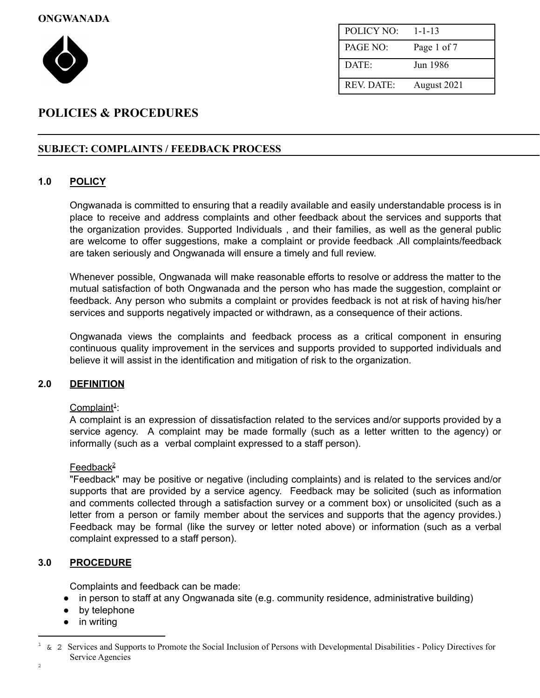

| POLICY NO:        | $1 - 1 - 13$ |
|-------------------|--------------|
| PAGE NO:          | Page 1 of 7  |
| DATE:             | Jun 1986     |
| <b>REV. DATE:</b> | August 2021  |

## **SUBJECT: COMPLAINTS / FEEDBACK PROCESS**

## **1.0 POLICY**

Ongwanada is committed to ensuring that a readily available and easily understandable process is in place to receive and address complaints and other feedback about the services and supports that the organization provides. Supported Individuals , and their families, as well as the general public are welcome to offer suggestions, make a complaint or provide feedback .All complaints/feedback are taken seriously and Ongwanada will ensure a timely and full review.

Whenever possible, Ongwanada will make reasonable efforts to resolve or address the matter to the mutual satisfaction of both Ongwanada and the person who has made the suggestion, complaint or feedback. Any person who submits a complaint or provides feedback is not at risk of having his/her services and supports negatively impacted or withdrawn, as a consequence of their actions.

Ongwanada views the complaints and feedback process as a critical component in ensuring continuous quality improvement in the services and supports provided to supported individuals and believe it will assist in the identification and mitigation of risk to the organization.

### **2.0 DEFINITION**

### Complaint<sup>1</sup>:

A complaint is an expression of dissatisfaction related to the services and/or supports provided by a service agency. A complaint may be made formally (such as a letter written to the agency) or informally (such as a verbal complaint expressed to a staff person).

### Feedback 2

"Feedback" may be positive or negative (including complaints) and is related to the services and/or supports that are provided by a service agency. Feedback may be solicited (such as information and comments collected through a satisfaction survey or a comment box) or unsolicited (such as a letter from a person or family member about the services and supports that the agency provides.) Feedback may be formal (like the survey or letter noted above) or information (such as a verbal complaint expressed to a staff person).

### **3.0 PROCEDURE**

Complaints and feedback can be made:

- in person to staff at any Ongwanada site (e.g. community residence, administrative building)
- by telephone
- in writing

 $\frac{1}{2}$  & 2 Services and Supports to Promote the Social Inclusion of Persons with Developmental Disabilities - Policy Directives for Service Agencies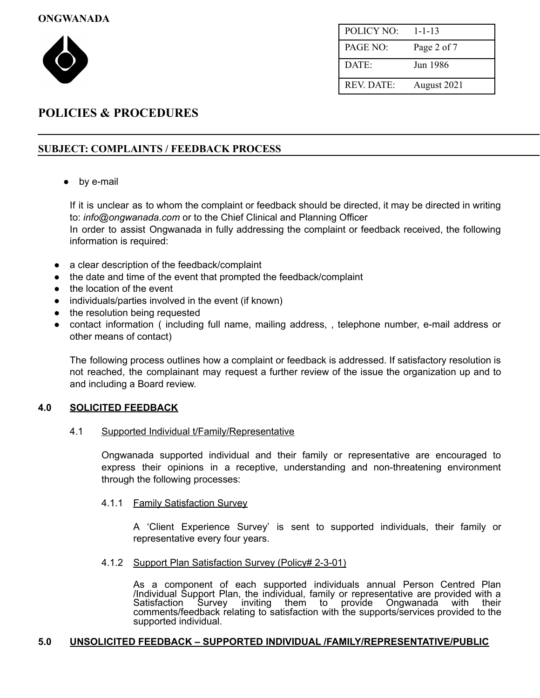

| POLICY NO:        | $1 - 1 - 13$ |
|-------------------|--------------|
| PAGE NO:          | Page 2 of 7  |
| DATE:             | Jun 1986     |
| <b>REV. DATE:</b> | August 2021  |

## **SUBJECT: COMPLAINTS / FEEDBACK PROCESS**

● by e-mail

If it is unclear as to whom the complaint or feedback should be directed, it may be directed in writing to: *info@ongwanada.com* or to the Chief Clinical and Planning Officer In order to assist Ongwanada in fully addressing the complaint or feedback received, the following information is required:

- a clear description of the feedback/complaint
- the date and time of the event that prompted the feedback/complaint
- the location of the event
- individuals/parties involved in the event (if known)
- the resolution being requested
- contact information ( including full name, mailing address, , telephone number, e-mail address or other means of contact)

The following process outlines how a complaint or feedback is addressed. If satisfactory resolution is not reached, the complainant may request a further review of the issue the organization up and to and including a Board review.

### **4.0 SOLICITED FEEDBACK**

### 4.1 Supported Individual t/Family/Representative

Ongwanada supported individual and their family or representative are encouraged to express their opinions in a receptive, understanding and non-threatening environment through the following processes:

### 4.1.1 Family Satisfaction Survey

A 'Client Experience Survey' is sent to supported individuals, their family or representative every four years.

### 4.1.2 Support Plan Satisfaction Survey (Policy# 2-3-01)

As a component of each supported individuals annual Person Centred Plan /Individual Support Plan, the individual, family or representative are provided with a Survey inviting them to provide comments/feedback relating to satisfaction with the supports/services provided to the supported individual.

### **5.0 UNSOLICITED FEEDBACK – SUPPORTED INDIVIDUAL /FAMILY/REPRESENTATIVE/PUBLIC**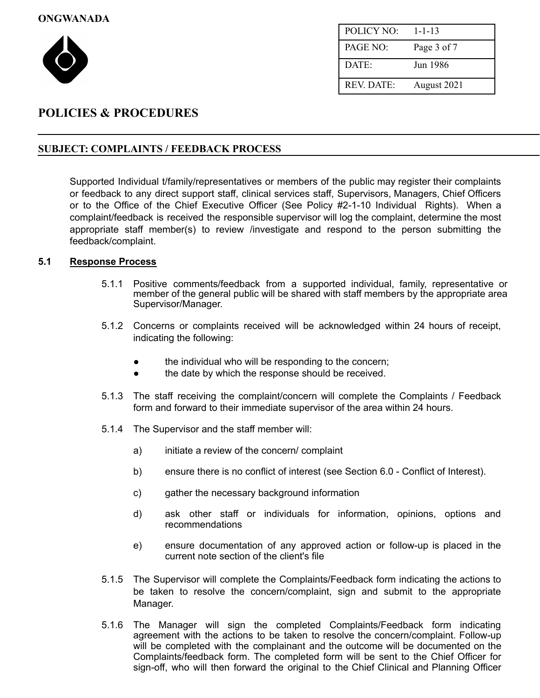

| POLICY NO:        | $1 - 1 - 13$ |
|-------------------|--------------|
| PAGE NO:          | Page 3 of 7  |
| $DATE^+$          | Jun 1986     |
| <b>REV. DATE:</b> | August 2021  |

## **SUBJECT: COMPLAINTS / FEEDBACK PROCESS**

Supported Individual t/family/representatives or members of the public may register their complaints or feedback to any direct support staff, clinical services staff, Supervisors, Managers, Chief Officers or to the Office of the Chief Executive Officer (See Policy #2-1-10 Individual Rights). When a complaint/feedback is received the responsible supervisor will log the complaint, determine the most appropriate staff member(s) to review /investigate and respond to the person submitting the feedback/complaint.

### **5.1 Response Process**

- 5.1.1 Positive comments/feedback from a supported individual, family, representative or member of the general public will be shared with staff members by the appropriate area Supervisor/Manager.
- 5.1.2 Concerns or complaints received will be acknowledged within 24 hours of receipt, indicating the following:
	- the individual who will be responding to the concern;
	- the date by which the response should be received.
- 5.1.3 The staff receiving the complaint/concern will complete the Complaints / Feedback form and forward to their immediate supervisor of the area within 24 hours.
- 5.1.4 The Supervisor and the staff member will:
	- a) initiate a review of the concern/ complaint
	- b) ensure there is no conflict of interest (see Section 6.0 Conflict of Interest).
	- c) gather the necessary background information
	- d) ask other staff or individuals for information, opinions, options and recommendations
	- e) ensure documentation of any approved action or follow-up is placed in the current note section of the client's file
- 5.1.5 The Supervisor will complete the Complaints/Feedback form indicating the actions to be taken to resolve the concern/complaint, sign and submit to the appropriate Manager.
- 5.1.6 The Manager will sign the completed Complaints/Feedback form indicating agreement with the actions to be taken to resolve the concern/complaint. Follow-up will be completed with the complainant and the outcome will be documented on the Complaints/feedback form. The completed form will be sent to the Chief Officer for sign-off, who will then forward the original to the Chief Clinical and Planning Officer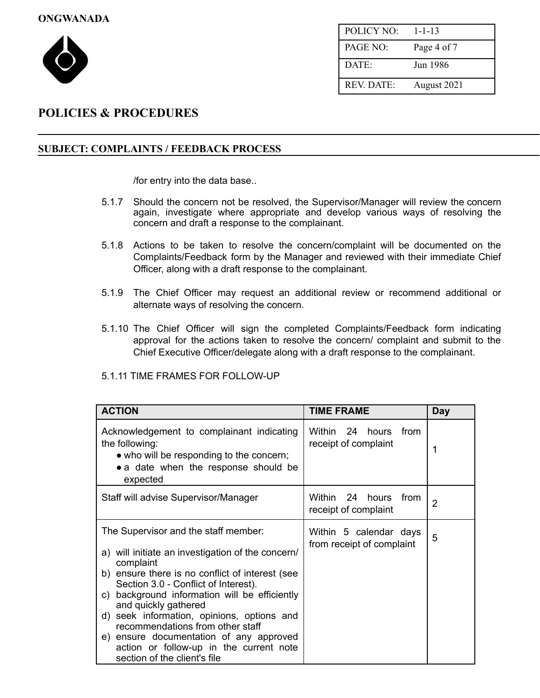

| POLICY NO:        | $1 - 1 - 13$ |
|-------------------|--------------|
| PAGE NO:          | Page 4 of 7  |
| $DATE^+$          | Jun 1986     |
| <b>REV. DATE:</b> | August 2021  |

## **SUBJECT: COMPLAINTS / FEEDBACK PROCESS**

/for entry into the data base..

- 5.1.7 Should the concern not be resolved, the Supervisor/Manager will review the concern again, investigate where appropriate and develop various ways of resolving the concern and draft a response to the complainant.
- 5.1.8 Actions to be taken to resolve the concern/complaint will be documented on the Complaints/Feedback form by the Manager and reviewed with their immediate Chief Officer, along with a draft response to the complainant.
- 5.1.9 The Chief Officer may request an additional review or recommend additional or alternate ways of resolving the concern.
- 5.1.10 The Chief Officer will sign the completed Complaints/Feedback form indicating approval for the actions taken to resolve the concern/ complaint and submit to the Chief Executive Officer/delegate along with a draft response to the complainant.
- 5.1.11 TIME FRAMES FOR FOLLOW-UP

| <b>ACTION</b>                                                                                                                                                                                                                                                                                                                                                                                                                                                                         | <b>TIME FRAME</b>                                   | Day            |
|---------------------------------------------------------------------------------------------------------------------------------------------------------------------------------------------------------------------------------------------------------------------------------------------------------------------------------------------------------------------------------------------------------------------------------------------------------------------------------------|-----------------------------------------------------|----------------|
| Acknowledgement to complainant indicating<br>the following:<br>• who will be responding to the concern;<br>• a date when the response should be<br>expected                                                                                                                                                                                                                                                                                                                           | Within 24 hours<br>from<br>receipt of complaint     |                |
| Staff will advise Supervisor/Manager                                                                                                                                                                                                                                                                                                                                                                                                                                                  | Within 24 hours<br>from<br>receipt of complaint     | $\overline{2}$ |
| The Supervisor and the staff member:<br>a) will initiate an investigation of the concern/<br>complaint<br>b) ensure there is no conflict of interest (see<br>Section 3.0 - Conflict of Interest).<br>background information will be efficiently<br>C)<br>and quickly gathered<br>d) seek information, opinions, options and<br>recommendations from other staff<br>e) ensure documentation of any approved<br>action or follow-up in the current note<br>section of the client's file | Within 5 calendar days<br>from receipt of complaint | 5              |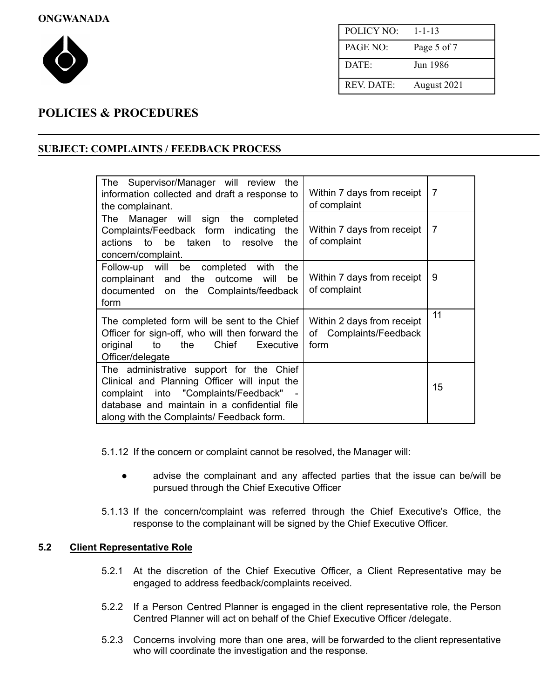

| POLICY NO:        | $1 - 1 - 13$ |
|-------------------|--------------|
| PAGE NO:          | Page 5 of 7  |
| DATE:             | Jun 1986     |
| <b>REV. DATE:</b> | August 2021  |

## **SUBJECT: COMPLAINTS / FEEDBACK PROCESS**

| Supervisor/Manager will review<br>The<br>the<br>information collected and draft a response to<br>the complainant.                                                                                                             | Within 7 days from receipt<br>of complaint                   | 7  |
|-------------------------------------------------------------------------------------------------------------------------------------------------------------------------------------------------------------------------------|--------------------------------------------------------------|----|
| Manager will sign the completed<br>The<br>Complaints/Feedback form indicating<br>the<br>to be taken<br>to resolve<br>the<br>actions<br>concern/complaint.                                                                     | Within 7 days from receipt<br>of complaint                   | 7  |
| Follow-up will be completed<br>the<br>with<br>be<br>complainant and the outcome<br>will<br>documented on<br>the Complaints/feedback<br>form                                                                                   | Within 7 days from receipt<br>of complaint                   | 9  |
| The completed form will be sent to the Chief<br>Officer for sign-off, who will then forward the<br>original<br>to to<br>the<br>Chief<br>Executive<br>Officer/delegate                                                         | Within 2 days from receipt<br>of Complaints/Feedback<br>form | 11 |
| The administrative support for the Chief<br>Clinical and Planning Officer will input the<br>complaint into "Complaints/Feedback"<br>database and maintain in a confidential file<br>along with the Complaints/ Feedback form. |                                                              | 15 |

5.1.12 If the concern or complaint cannot be resolved, the Manager will:

- advise the complainant and any affected parties that the issue can be/will be pursued through the Chief Executive Officer
- 5.1.13 If the concern/complaint was referred through the Chief Executive's Office, the response to the complainant will be signed by the Chief Executive Officer.

### **5.2 Client Representative Role**

- 5.2.1 At the discretion of the Chief Executive Officer, a Client Representative may be engaged to address feedback/complaints received.
- 5.2.2 If a Person Centred Planner is engaged in the client representative role, the Person Centred Planner will act on behalf of the Chief Executive Officer /delegate.
- 5.2.3 Concerns involving more than one area, will be forwarded to the client representative who will coordinate the investigation and the response.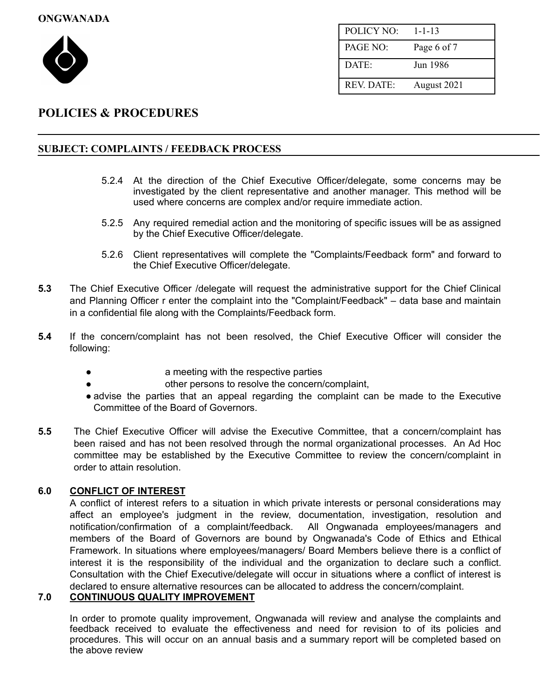

| POLICY NO:        | $1 - 1 - 13$ |
|-------------------|--------------|
| PAGE NO:          | Page 6 of 7  |
| $DATE^+$          | Jun 1986     |
| <b>REV. DATE:</b> | August 2021  |

## **SUBJECT: COMPLAINTS / FEEDBACK PROCESS**

- 5.2.4 At the direction of the Chief Executive Officer/delegate, some concerns may be investigated by the client representative and another manager. This method will be used where concerns are complex and/or require immediate action.
- 5.2.5 Any required remedial action and the monitoring of specific issues will be as assigned by the Chief Executive Officer/delegate.
- 5.2.6 Client representatives will complete the "Complaints/Feedback form" and forward to the Chief Executive Officer/delegate.
- **5.3** The Chief Executive Officer /delegate will request the administrative support for the Chief Clinical and Planning Officer r enter the complaint into the "Complaint/Feedback" – data base and maintain in a confidential file along with the Complaints/Feedback form.
- **5.4** If the concern/complaint has not been resolved, the Chief Executive Officer will consider the following:
	- a meeting with the respective parties
	- other persons to resolve the concern/complaint,
	- advise the parties that an appeal regarding the complaint can be made to the Executive Committee of the Board of Governors.
- **5.5** The Chief Executive Officer will advise the Executive Committee, that a concern/complaint has been raised and has not been resolved through the normal organizational processes. An Ad Hoc committee may be established by the Executive Committee to review the concern/complaint in order to attain resolution.

### **6.0 CONFLICT OF INTEREST**

A conflict of interest refers to a situation in which private interests or personal considerations may affect an employee's judgment in the review, documentation, investigation, resolution and notification/confirmation of a complaint/feedback. All Ongwanada employees/managers and members of the Board of Governors are bound by Ongwanada's Code of Ethics and Ethical Framework. In situations where employees/managers/ Board Members believe there is a conflict of interest it is the responsibility of the individual and the organization to declare such a conflict. Consultation with the Chief Executive/delegate will occur in situations where a conflict of interest is declared to ensure alternative resources can be allocated to address the concern/complaint.

## **7.0 CONTINUOUS QUALITY IMPROVEMENT**

In order to promote quality improvement, Ongwanada will review and analyse the complaints and feedback received to evaluate the effectiveness and need for revision to of its policies and procedures. This will occur on an annual basis and a summary report will be completed based on the above review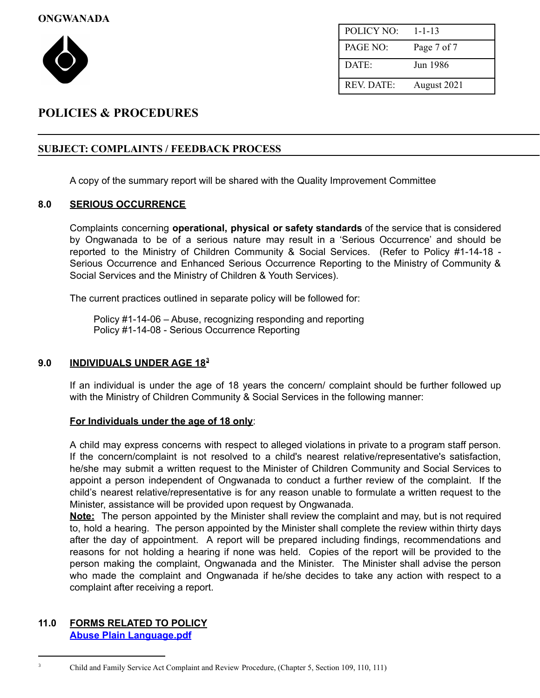

| POLICY NO:        | $1 - 1 - 13$ |
|-------------------|--------------|
| PAGE NO:          | Page 7 of 7  |
| $DATE^+$          | Jun 1986     |
| <b>REV. DATE:</b> | August 2021  |

## **SUBJECT: COMPLAINTS / FEEDBACK PROCESS**

A copy of the summary report will be shared with the Quality Improvement Committee

#### **8.0 SERIOUS OCCURRENCE**

Complaints concerning **operational, physical or safety standards** of the service that is considered by Ongwanada to be of a serious nature may result in a 'Serious Occurrence' and should be reported to the Ministry of Children Community & Social Services. (Refer to Policy #1-14-18 - Serious Occurrence and Enhanced Serious Occurrence Reporting to the Ministry of Community & Social Services and the Ministry of Children & Youth Services).

The current practices outlined in separate policy will be followed for:

Policy #1-14-06 – Abuse, recognizing responding and reporting Policy #1-14-08 - Serious Occurrence Reporting

### **9.0 INDIVIDUALS UNDER AGE 18 3**

If an individual is under the age of 18 years the concern/ complaint should be further followed up with the Ministry of Children Community & Social Services in the following manner:

#### **For Individuals under the age of 18 only**:

A child may express concerns with respect to alleged violations in private to a program staff person. If the concern/complaint is not resolved to a child's nearest relative/representative's satisfaction, he/she may submit a written request to the Minister of Children Community and Social Services to appoint a person independent of Ongwanada to conduct a further review of the complaint. If the child's nearest relative/representative is for any reason unable to formulate a written request to the Minister, assistance will be provided upon request by Ongwanada.

**Note:** The person appointed by the Minister shall review the complaint and may, but is not required to, hold a hearing. The person appointed by the Minister shall complete the review within thirty days after the day of appointment. A report will be prepared including findings, recommendations and reasons for not holding a hearing if none was held. Copies of the report will be provided to the person making the complaint, Ongwanada and the Minister. The Minister shall advise the person who made the complaint and Ongwanada if he/she decides to take any action with respect to a complaint after receiving a report.

### **11.0 FORMS RELATED TO POLICY Abuse Plain Language.pdf**

<sup>&</sup>lt;sup>3</sup> Child and Family Service Act Complaint and Review Procedure, (Chapter 5, Section 109, 110, 111)